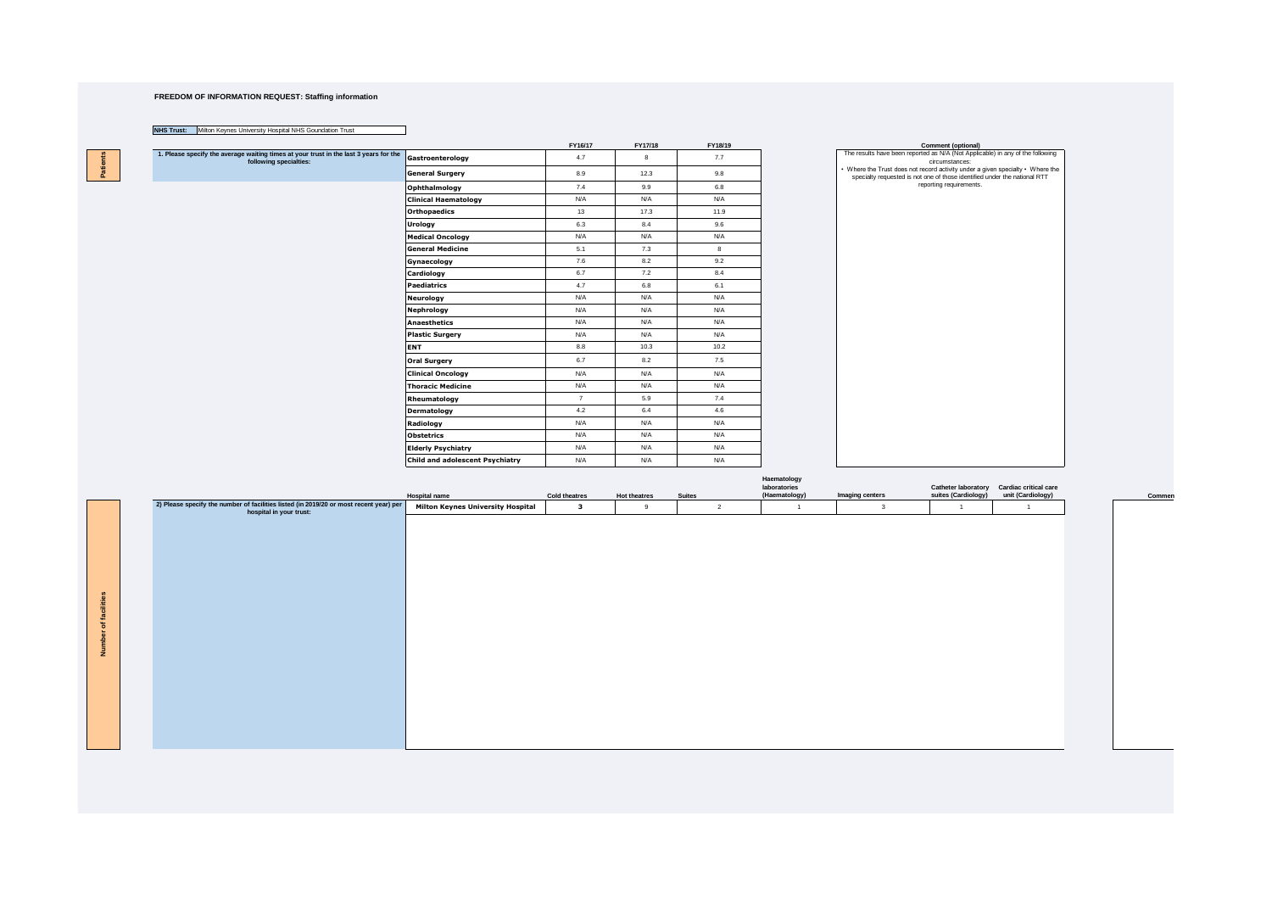## **FREEDOM OF INFORMATION REQUEST: Staffing information**

## **NHS Trust:** Milton Keynes University Hospital NHS Goundation Trust

**Number of facilities**

ិ

**Patients** 

Patients<sup>1</sup>

|                                                                                                                 |                                 | FY16/17        | FY17/18 | FY18/19 | Comment (optional)                                                                                                                                          |
|-----------------------------------------------------------------------------------------------------------------|---------------------------------|----------------|---------|---------|-------------------------------------------------------------------------------------------------------------------------------------------------------------|
| 1. Please specify the average waiting times at your trust in the last 3 years for the<br>following specialties: | Gastroenterology                | 4.7            | 8       | 7.7     | The results have been reported as N/A (Not Applicable) in any of the following<br>circumstances:                                                            |
|                                                                                                                 | <b>General Surgery</b>          | 8.9            | 12.3    | 9.8     | • Where the Trust does not record activity under a given specialty • Where the<br>specialty requested is not one of those identified under the national RTT |
|                                                                                                                 | Ophthalmology                   | 7.4            | 9.9     | 6.8     | reporting requirements.                                                                                                                                     |
|                                                                                                                 | <b>Clinical Haematology</b>     | N/A            | N/A     | N/A     |                                                                                                                                                             |
|                                                                                                                 | <b>Orthopaedics</b>             | 13             | 17.3    | 11.9    |                                                                                                                                                             |
|                                                                                                                 | Urology                         | 6.3            | 8.4     | 9.6     |                                                                                                                                                             |
|                                                                                                                 | <b>Medical Oncology</b>         | N/A            | N/A     | N/A     |                                                                                                                                                             |
|                                                                                                                 | <b>General Medicine</b>         | 5.1            | 7.3     | 8       |                                                                                                                                                             |
|                                                                                                                 | Gynaecology                     | 7.6            | 8.2     | 9.2     |                                                                                                                                                             |
|                                                                                                                 | Cardiology                      | 6.7            | 7.2     | 8.4     |                                                                                                                                                             |
|                                                                                                                 | <b>Paediatrics</b>              | 4.7            | 6.8     | 6.1     |                                                                                                                                                             |
|                                                                                                                 | <b>Neurology</b>                | N/A            | N/A     | N/A     |                                                                                                                                                             |
|                                                                                                                 | Nephrology                      | N/A            | N/A     | N/A     |                                                                                                                                                             |
|                                                                                                                 | Anaesthetics                    | N/A            | N/A     | N/A     |                                                                                                                                                             |
|                                                                                                                 | <b>Plastic Surgery</b>          | N/A            | N/A     | N/A     |                                                                                                                                                             |
|                                                                                                                 | ENT                             | 8.8            | 10.3    | 10.2    |                                                                                                                                                             |
|                                                                                                                 | <b>Oral Surgery</b>             | 6.7            | 8.2     | 7.5     |                                                                                                                                                             |
|                                                                                                                 | <b>Clinical Oncology</b>        | N/A            | N/A     | N/A     |                                                                                                                                                             |
|                                                                                                                 | <b>Thoracic Medicine</b>        | N/A            | N/A     | N/A     |                                                                                                                                                             |
|                                                                                                                 | Rheumatology                    | $\overline{7}$ | 5.9     | 7.4     |                                                                                                                                                             |
|                                                                                                                 | Dermatology                     | 4.2            | 6.4     | 4.6     |                                                                                                                                                             |
|                                                                                                                 | Radiology                       | N/A            | N/A     | N/A     |                                                                                                                                                             |
|                                                                                                                 | <b>Obstetrics</b>               | N/A            | N/A     | N/A     |                                                                                                                                                             |
|                                                                                                                 | <b>Elderly Psychiatry</b>       | N/A            | N/A     | N/A     |                                                                                                                                                             |
|                                                                                                                 | Child and adolescent Psychiatry | N/A            | N/A     | N/A     |                                                                                                                                                             |

|                                                                                                                   | <b>Hospital name</b>                     | <b>Cold theatres</b> | <b>Hot theatres</b> | <b>Suites</b> |                | Haematology<br>laboratories<br>(Haematology) | Imaging centers | suites (Cardiology) | Catheter laboratory Cardiac critical care<br>unit (Cardiology) |  |
|-------------------------------------------------------------------------------------------------------------------|------------------------------------------|----------------------|---------------------|---------------|----------------|----------------------------------------------|-----------------|---------------------|----------------------------------------------------------------|--|
| 2) Please specify the number of facilities listed (in 2019/20 or most recent year) per<br>hospital in your trust: | <b>Milton Keynes University Hospital</b> | 3                    | 9                   |               | $\overline{2}$ |                                              | 3               |                     |                                                                |  |
|                                                                                                                   |                                          |                      |                     |               |                |                                              |                 |                     |                                                                |  |
|                                                                                                                   |                                          |                      |                     |               |                |                                              |                 |                     |                                                                |  |
|                                                                                                                   |                                          |                      |                     |               |                |                                              |                 |                     |                                                                |  |
|                                                                                                                   |                                          |                      |                     |               |                |                                              |                 |                     |                                                                |  |
|                                                                                                                   |                                          |                      |                     |               |                |                                              |                 |                     |                                                                |  |
|                                                                                                                   |                                          |                      |                     |               |                |                                              |                 |                     |                                                                |  |
|                                                                                                                   |                                          |                      |                     |               |                |                                              |                 |                     |                                                                |  |
|                                                                                                                   |                                          |                      |                     |               |                |                                              |                 |                     |                                                                |  |
|                                                                                                                   |                                          |                      |                     |               |                |                                              |                 |                     |                                                                |  |
|                                                                                                                   |                                          |                      |                     |               |                |                                              |                 |                     |                                                                |  |
|                                                                                                                   |                                          |                      |                     |               |                |                                              |                 |                     |                                                                |  |
|                                                                                                                   |                                          |                      |                     |               |                |                                              |                 |                     |                                                                |  |
|                                                                                                                   |                                          |                      |                     |               |                |                                              |                 |                     |                                                                |  |
|                                                                                                                   |                                          |                      |                     |               |                |                                              |                 |                     |                                                                |  |

**Commen**